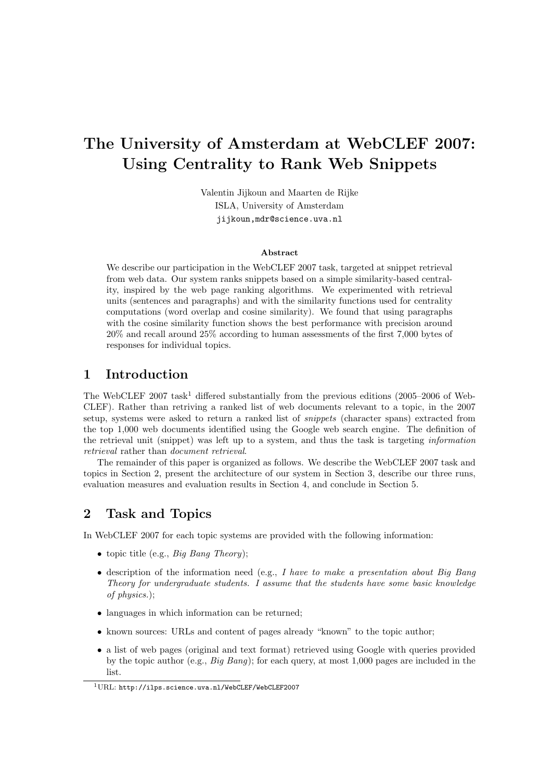# The University of Amsterdam at WebCLEF 2007: Using Centrality to Rank Web Snippets

Valentin Jijkoun and Maarten de Rijke ISLA, University of Amsterdam jijkoun,mdr@science.uva.nl

#### Abstract

We describe our participation in the WebCLEF 2007 task, targeted at snippet retrieval from web data. Our system ranks snippets based on a simple similarity-based centrality, inspired by the web page ranking algorithms. We experimented with retrieval units (sentences and paragraphs) and with the similarity functions used for centrality computations (word overlap and cosine similarity). We found that using paragraphs with the cosine similarity function shows the best performance with precision around 20% and recall around 25% according to human assessments of the first 7,000 bytes of responses for individual topics.

### 1 Introduction

The WebCLEF 2007 task<sup>1</sup> differed substantially from the previous editions  $(2005-2006 \text{ of Web-}$ CLEF). Rather than retriving a ranked list of web documents relevant to a topic, in the 2007 setup, systems were asked to return a ranked list of snippets (character spans) extracted from the top 1,000 web documents identified using the Google web search engine. The definition of the retrieval unit (snippet) was left up to a system, and thus the task is targeting information retrieval rather than document retrieval.

The remainder of this paper is organized as follows. We describe the WebCLEF 2007 task and topics in Section 2, present the architecture of our system in Section 3, describe our three runs, evaluation measures and evaluation results in Section 4, and conclude in Section 5.

## 2 Task and Topics

In WebCLEF 2007 for each topic systems are provided with the following information:

- topic title (e.g.,  $Big Bang$  Theory);
- $\bullet$  description of the information need (e.g., I have to make a presentation about Big Bang Theory for undergraduate students. I assume that the students have some basic knowledge of physics.);
- languages in which information can be returned;
- known sources: URLs and content of pages already "known" to the topic author;
- a list of web pages (original and text format) retrieved using Google with queries provided by the topic author (e.g.,  $Big Bang$ ); for each query, at most 1,000 pages are included in the list.

<sup>1</sup>URL: http://ilps.science.uva.nl/WebCLEF/WebCLEF2007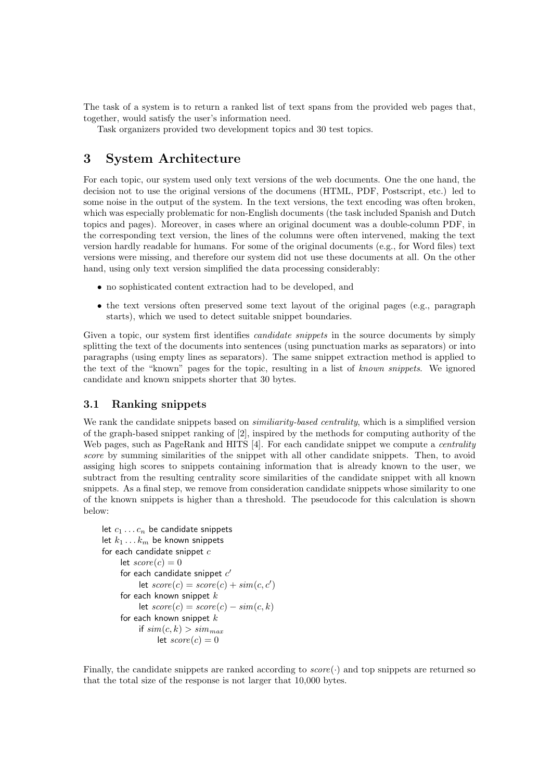The task of a system is to return a ranked list of text spans from the provided web pages that, together, would satisfy the user's information need.

Task organizers provided two development topics and 30 test topics.

# 3 System Architecture

For each topic, our system used only text versions of the web documents. One the one hand, the decision not to use the original versions of the documens (HTML, PDF, Postscript, etc.) led to some noise in the output of the system. In the text versions, the text encoding was often broken, which was especially problematic for non-English documents (the task included Spanish and Dutch topics and pages). Moreover, in cases where an original document was a double-column PDF, in the corresponding text version, the lines of the columns were often intervened, making the text version hardly readable for humans. For some of the original documents (e.g., for Word files) text versions were missing, and therefore our system did not use these documents at all. On the other hand, using only text version simplified the data processing considerably:

- no sophisticated content extraction had to be developed, and
- the text versions often preserved some text layout of the original pages (e.g., paragraph starts), which we used to detect suitable snippet boundaries.

Given a topic, our system first identifies *candidate snippets* in the source documents by simply splitting the text of the documents into sentences (using punctuation marks as separators) or into paragraphs (using empty lines as separators). The same snippet extraction method is applied to the text of the "known" pages for the topic, resulting in a list of known snippets. We ignored candidate and known snippets shorter that 30 bytes.

#### 3.1 Ranking snippets

We rank the candidate snippets based on *similiarity-based centrality*, which is a simplified version of the graph-based snippet ranking of [2], inspired by the methods for computing authority of the Web pages, such as PageRank and HITS [4]. For each candidate snippet we compute a *centrality* score by summing similarities of the snippet with all other candidate snippets. Then, to avoid assiging high scores to snippets containing information that is already known to the user, we subtract from the resulting centrality score similarities of the candidate snippet with all known snippets. As a final step, we remove from consideration candidate snippets whose similarity to one of the known snippets is higher than a threshold. The pseudocode for this calculation is shown below:

```
let c_1 \ldots c_n be candidate snippets
let k_1 \ldots k_m be known snippets
for each candidate snippet clet score(c) = 0for each candidate snippet c'let score(c) = score(c) + sim(c, c')for each known snippet klet score(c) = score(c) - sim(c, k)for each known snippet kif sim(c, k) > sim_{max}let score(c) = 0
```
Finally, the candidate snippets are ranked according to  $score(\cdot)$  and top snippets are returned so that the total size of the response is not larger that 10,000 bytes.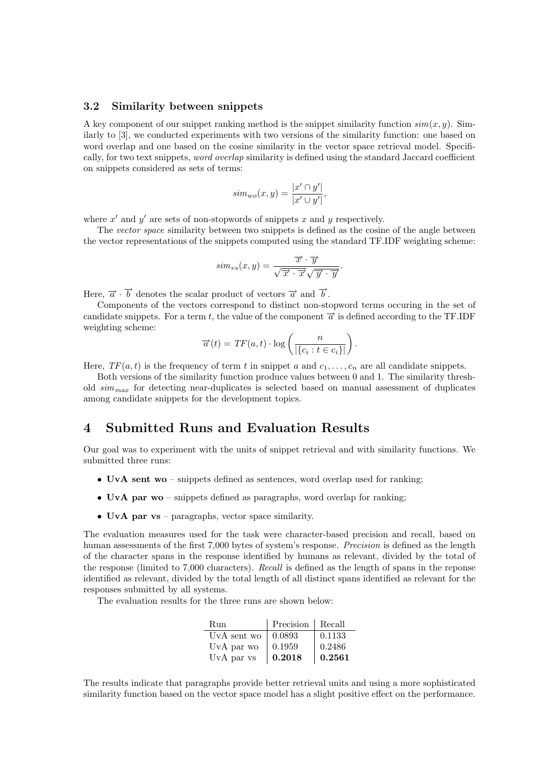#### 3.2 Similarity between snippets

A key component of our snippet ranking method is the snippet similarity function  $sim(x, y)$ . Similarly to [3], we conducted experiments with two versions of the similarity function: one based on word overlap and one based on the cosine similarity in the vector space retrieval model. Specifically, for two text snippets, word overlap similarity is defined using the standard Jaccard coefficient on snippets considered as sets of terms:

$$
sim_{wo}(x,y) = \frac{|x' \cap y'|}{|x' \cup y'|},
$$

where  $x'$  and  $y'$  are sets of non-stopwords of snippets x and y respectively.

The vector space similarity between two snippets is defined as the cosine of the angle between the vector representations of the snippets computed using the standard TF.IDF weighting scheme:

$$
sim_{vs}(x,y) = \frac{\overrightarrow{x} \cdot \overrightarrow{y}}{\sqrt{\overrightarrow{x} \cdot \overrightarrow{x}} \sqrt{\overrightarrow{y} \cdot \overrightarrow{y}}}.
$$

Here,  $\vec{a} \cdot \vec{b}$  denotes the scalar product of vectors  $\vec{a}$  and  $\vec{b}$ .

Components of the vectors correspond to distinct non-stopword terms occuring in the set of candidate snippets. For a term t, the value of the component  $\vec{\alpha}$  is defined according to the TF.IDF weighting scheme:

$$
\overrightarrow{a}(t) = TF(a, t) \cdot \log\left(\frac{n}{|\{c_i : t \in c_i\}|}\right).
$$

Here,  $TF(a, t)$  is the frequency of term t in snippet a and  $c_1, \ldots, c_n$  are all candidate snippets.

Both versions of the similarity function produce values between 0 and 1. The similarity threshold  $sim_{max}$  for detecting near-duplicates is selected based on manual assessment of duplicates among candidate snippets for the development topics.

### 4 Submitted Runs and Evaluation Results

Our goal was to experiment with the units of snippet retrieval and with similarity functions. We submitted three runs:

- UvA sent wo snippets defined as sentences, word overlap used for ranking;
- UvA par wo snippets defined as paragraphs, word overlap for ranking;
- UvA par vs paragraphs, vector space similarity.

The evaluation measures used for the task were character-based precision and recall, based on human assessments of the first 7,000 bytes of system's response. *Precision* is defined as the length of the character spans in the response identified by humans as relevant, divided by the total of the response (limited to 7,000 characters). Recall is defined as the length of spans in the reponse identified as relevant, divided by the total length of all distinct spans identified as relevant for the responses submitted by all systems.

The evaluation results for the three runs are shown below:

| Run         | Precision | Recall |
|-------------|-----------|--------|
| UvA sent wo | 0.0893    | 0.1133 |
| UvA par wo  | 0.1959    | 0.2486 |
| UvA par vs  | 0.2018    | 0.2561 |

The results indicate that paragraphs provide better retrieval units and using a more sophisticated similarity function based on the vector space model has a slight positive effect on the performance.